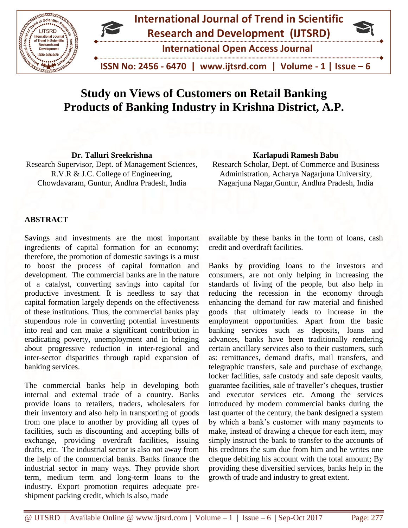

# **Study on Views of Customers on Retail Banking Products of Banking Industry in Krishna District, A.P.**

**Dr. Talluri Sreekrishna** Research Supervisor, Dept. of Management Sciences, R.V.R & J.C. College of Engineering, Chowdavaram, Guntur, Andhra Pradesh, India

#### **Karlapudi Ramesh Babu**

Research Scholar, Dept. of Commerce and Business Administration, Acharya Nagarjuna University, Nagarjuna Nagar,Guntur, Andhra Pradesh, India

# **ABSTRACT**

Savings and investments are the most important ingredients of capital formation for an economy; therefore, the promotion of domestic savings is a must to boost the process of capital formation and development. The commercial banks are in the nature of a catalyst, converting savings into capital for productive investment. It is needless to say that capital formation largely depends on the effectiveness of these institutions. Thus, the commercial banks play stupendous role in converting potential investments into real and can make a significant contribution in eradicating poverty, unemployment and in bringing about progressive reduction in inter-regional and inter-sector disparities through rapid expansion of banking services.

The commercial banks help in developing both internal and external trade of a country. Banks provide loans to retailers, traders, wholesalers for their inventory and also help in transporting of goods from one place to another by providing all types of facilities, such as discounting and accepting bills of exchange, providing overdraft facilities, issuing drafts, etc. The industrial sector is also not away from the help of the commercial banks. Banks finance the industrial sector in many ways. They provide short term, medium term and long-term loans to the industry. Export promotion requires adequate preshipment packing credit, which is also, made

available by these banks in the form of loans, cash credit and overdraft facilities.

Banks by providing loans to the investors and consumers, are not only helping in increasing the standards of living of the people, but also help in reducing the recession in the economy through enhancing the demand for raw material and finished goods that ultimately leads to increase in the employment opportunities. Apart from the basic banking services such as deposits, loans and advances, banks have been traditionally rendering certain ancillary services also to their customers, such as: remittances, demand drafts, mail transfers, and telegraphic transfers, sale and purchase of exchange, locker facilities, safe custody and safe deposit vaults, guarantee facilities, sale of traveller's cheques, trustier and executor services etc. Among the services introduced by modern commercial banks during the last quarter of the century, the bank designed a system by which a bank's customer with many payments to make, instead of drawing a cheque for each item, may simply instruct the bank to transfer to the accounts of his creditors the sum due from him and he writes one cheque debiting his account with the total amount; By providing these diversified services, banks help in the growth of trade and industry to great extent.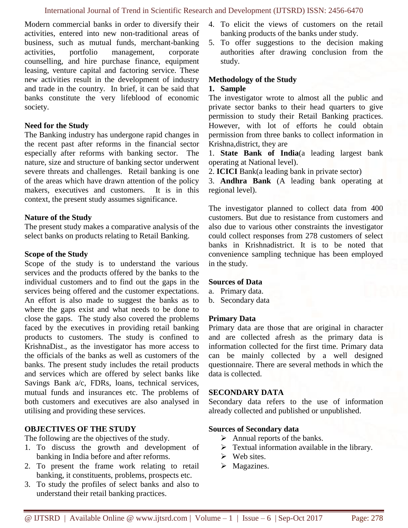Modern commercial banks in order to diversify their activities, entered into new non-traditional areas of business, such as mutual funds, merchant-banking activities, portfolio management, corporate counselling, and hire purchase finance, equipment leasing, venture capital and factoring service. These new activities result in the development of industry and trade in the country. In brief, it can be said that banks constitute the very lifeblood of economic society.

# **Need for the Study**

The Banking industry has undergone rapid changes in the recent past after reforms in the financial sector especially after reforms with banking sector. The nature, size and structure of banking sector underwent severe threats and challenges. Retail banking is one of the areas which have drawn attention of the policy makers, executives and customers. It is in this context, the present study assumes significance.

#### **Nature of the Study**

The present study makes a comparative analysis of the select banks on products relating to Retail Banking.

#### **Scope of the Study**

Scope of the study is to understand the various services and the products offered by the banks to the individual customers and to find out the gaps in the services being offered and the customer expectations. An effort is also made to suggest the banks as to where the gaps exist and what needs to be done to close the gaps. The study also covered the problems faced by the executives in providing retail banking products to customers. The study is confined to KrishnaDist., as the investigator has more access to the officials of the banks as well as customers of the banks. The present study includes the retail products and services which are offered by select banks like Savings Bank a/c, FDRs, loans, technical services, mutual funds and insurances etc. The problems of both customers and executives are also analysed in utilising and providing these services.

# **OBJECTIVES OF THE STUDY**

The following are the objectives of the study.

- 1. To discuss the growth and development of banking in India before and after reforms.
- 2. To present the frame work relating to retail banking, it constituents, problems, prospects etc.
- 3. To study the profiles of select banks and also to understand their retail banking practices.
- 4. To elicit the views of customers on the retail banking products of the banks under study.
- 5. To offer suggestions to the decision making authorities after drawing conclusion from the study.

# **Methodology of the Study**

#### **1. Sample**

The investigator wrote to almost all the public and private sector banks to their head quarters to give permission to study their Retail Banking practices. However, with lot of efforts he could obtain permission from three banks to collect information in Krishna,district, they are

1. **State Bank of India**(a leading largest bank operating at National level).

2. **ICICI** Bank(a leading bank in private sector)

3. **Andhra Bank** (A leading bank operating at regional level).

The investigator planned to collect data from 400 customers. But due to resistance from customers and also due to various other constraints the investigator could collect responses from 278 customers of select banks in Krishnadistrict. It is to be noted that convenience sampling technique has been employed in the study.

#### **Sources of Data**

- a. Primary data.
- b. Secondary data

#### **Primary Data**

Primary data are those that are original in character and are collected afresh as the primary data is information collected for the first time. Primary data can be mainly collected by a well designed questionnaire. There are several methods in which the data is collected.

#### **SECONDARY DATA**

Secondary data refers to the use of information already collected and published or unpublished.

#### **Sources of Secondary data**

- $\triangleright$  Annual reports of the banks.
- $\triangleright$  Textual information available in the library.
- $\triangleright$  Web sites.
- ➢ Magazines.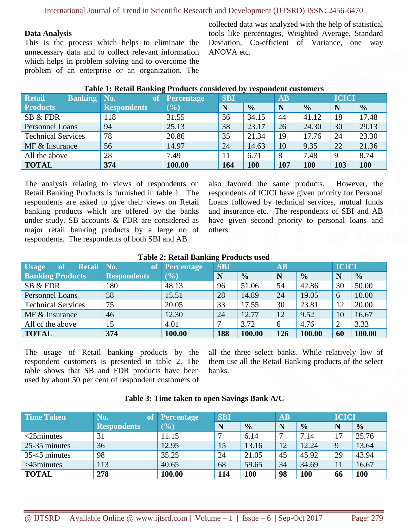International Journal of Trend in Scientific Research and Development (IJTSRD) ISSN: 2456-6470

#### **Data Analysis**

This is the process which helps to eliminate the unnecessary data and to collect relevant information which helps in problem solving and to overcome the problem of an enterprise or an organization. The collected data was analyzed with the help of statistical tools like percentages, Weighted Average, Standard Deviation, Co-efficient of Variance, one way ANOVA etc.

| <b>Retail</b><br><b>Banking No.</b> | <b>of</b>          | <b>Percentage</b> | <b>SBI</b> |               | <b>AB</b> |               | <b>ICICI</b> |               |
|-------------------------------------|--------------------|-------------------|------------|---------------|-----------|---------------|--------------|---------------|
| <b>Products</b>                     | <b>Respondents</b> | (%)               | N          | $\frac{0}{0}$ | N         | $\frac{0}{0}$ | N            | $\frac{0}{0}$ |
| SB & FDR                            | 118                | 31.55             | 56         | 34.15         | 44        | 41.12         | 18           | 17.48         |
| <b>Personnel Loans</b>              | 94                 | 25.13             | 38         | 23.17         | 26        | 24.30         | 30           | 29.13         |
| <b>Technical Services</b>           | 78                 | 20.86             | 35         | 21.34         | 19        | 17.76         | 24           | 23.30         |
| MF & Insurance                      | 56                 | 14.97             | 24         | 14.63         | 10        | 9.35          | 22           | 21.36         |
| All the above                       | 28                 | 7.49              | 11         | 6.71          | 8         | 7.48          | 9            | 8.74          |
| <b>TOTAL</b>                        | 374                | 100.00            | 164        | 100           | 107       | 100           | 103          | <b>100</b>    |

#### **Table 1: Retail Banking Products considered by respondent customers**

The analysis relating to views of respondents on Retail Banking Products is furnished in table 1. The respondents are asked to give their views on Retail banking products which are offered by the banks under study. SB accounts & FDR are considered as major retail banking products by a large no of respondents. The respondents of both SBI and AB

also favored the same products. However, the respondents of ICICI have given priority for Personal Loans followed by technical services, mutual funds and insurance etc. The respondents of SBI and AB have given second priority to personal loans and others.

| Table 2. Retail Daliking Frouncis used |                    |                   |            |               |           |               |              |               |  |
|----------------------------------------|--------------------|-------------------|------------|---------------|-----------|---------------|--------------|---------------|--|
| Retail No.<br>of<br><b>Usage</b>       | <b>of</b>          | <b>Percentage</b> | <b>SBI</b> |               | <b>AB</b> |               | <b>ICICI</b> |               |  |
| <b>Banking Products</b>                | <b>Respondents</b> | (%)               | N          | $\frac{0}{0}$ |           | $\frac{0}{0}$ |              | $\frac{0}{0}$ |  |
| SB & FDR                               | 180                | 48.13             | 96         | 51.06         | 54        | 42.86         | 30           | 50.00         |  |
| Personnel Loans                        | 58                 | 15.51             | 28         | 14.89         | 24        | 19.05         | -6           | 10.00         |  |
| <b>Technical Services</b>              | 75                 | 20.05             | 33         | 17.55         | 30        | 23.81         | 12           | 20.00         |  |
| $MF &$ Insurance                       | 46                 | 12.30             | 24         | 12.77         | 12        | 9.52          | 10           | 16.67         |  |
| All of the above                       | 15                 | 4.01              |            | 3.72          | 6         | 4.76          |              | 3.33          |  |
| <b>TOTAL</b>                           | 374                | 100.00            | 188        | 100.00        | 126       | 100.00        | 60           | 100.00        |  |

# **Table 2: Retail Banking Products used**

The usage of Retail banking products by the respondent customers is presented in table 2. The table shows that SB and FDR products have been used by about 50 per cent of respondent customers of all the three select banks. While relatively low of them use all the Retail Banking products of the select banks.

#### **Table 3: Time taken to open Savings Bank A/C**

| Time Taken    | No.<br><b>of</b>   | Percentage | <b>SBI</b> |               | $\overline{\mathbf{AB}}$ |               | <b>ICICI</b> |               |
|---------------|--------------------|------------|------------|---------------|--------------------------|---------------|--------------|---------------|
|               | <b>Respondents</b> | (%)        | N          | $\frac{1}{2}$ |                          | $\frac{1}{2}$ |              | $\frac{0}{0}$ |
| $<$ 25minutes | 31                 | 11.15      |            | 6.14          |                          | 7.14          | 7            | 25.76         |
| 25-35 minutes | 36                 | 12.95      | 15         | 13.16         | 12                       | 12.24         | 9            | 13.64         |
| 35-45 minutes | 98                 | 35.25      | 24         | 21.05         | 45                       | 45.92         | 29           | 43.94         |
| $>45$ minutes | 113                | 40.65      | 68         | 59.65         | 34                       | 34.69         |              | 16.67         |
| <b>TOTAL</b>  | 278                | 100.00     | 114        | 100           | 98                       | 100           | 66           | 100           |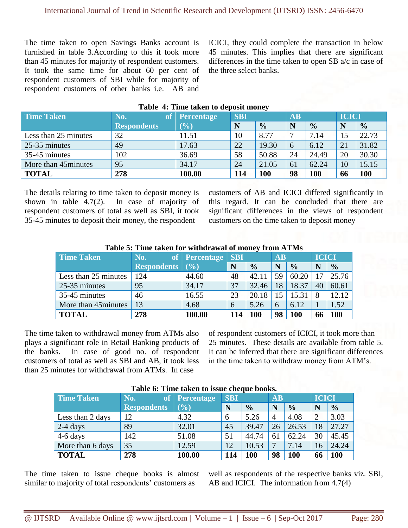The time taken to open Savings Banks account is furnished in table 3.According to this it took more than 45 minutes for majority of respondent customers. It took the same time for about 60 per cent of respondent customers of SBI while for majority of respondent customers of other banks i.e. AB and

ICICI, they could complete the transaction in below 45 minutes. This implies that there are significant differences in the time taken to open SB a/c in case of the three select banks.

| Table 7. Thine taken to acposit money |                    |                   |            |               |           |               |              |               |  |
|---------------------------------------|--------------------|-------------------|------------|---------------|-----------|---------------|--------------|---------------|--|
| <b>Time Taken</b>                     | No.<br>'of         | <b>Percentage</b> | <b>SBI</b> |               | <b>AB</b> |               | <b>ICICI</b> |               |  |
|                                       | <b>Respondents</b> | $(\%)$            | N          | $\frac{0}{0}$ | N         | $\frac{0}{0}$ | N            | $\frac{0}{0}$ |  |
| Less than 25 minutes                  | 32                 | 11.51             | 10         | 8.77          |           | 7.14          | 15           | 22.73         |  |
| 25-35 minutes                         | 49                 | 17.63             | 22         | 19.30         | 6         | 6.12          | 21           | 31.82         |  |
| 35-45 minutes                         | 102                | 36.69             | 58         | 50.88         | 24        | 24.49         | 20           | 30.30         |  |
| More than 45 minutes                  | 95                 | 34.17             | 24         | 21.05         | 61        | 62.24         | 10           | 15.15         |  |
| <b>TOTAL</b>                          | 278                | 100.00            | <b>114</b> | 100           | 98        | 100           | 66           | <b>100</b>    |  |

# **Table 4: Time taken to deposit money**

The details relating to time taken to deposit money is<br>shown in table  $4.7(2)$ . In case of majority of In case of majority of respondent customers of total as well as SBI, it took 35-45 minutes to deposit their money, the respondent

customers of AB and ICICI differed significantly in this regard. It can be concluded that there are significant differences in the views of respondent customers on the time taken to deposit money

| Table 5. This taken for whingfawar of money from ATTIVIS |                    |                   |     |               |           |               |              |               |  |
|----------------------------------------------------------|--------------------|-------------------|-----|---------------|-----------|---------------|--------------|---------------|--|
| Time Taken                                               | <b>No.</b>         | of Percentage SBI |     |               | <b>AB</b> |               | <b>ICICI</b> |               |  |
|                                                          | <b>Respondents</b> | (9/0)             | N   | $\frac{0}{0}$ | N         | $\frac{0}{0}$ |              | $\frac{0}{0}$ |  |
| Less than 25 minutes                                     | 124                | 44.60             | 48  | 42.11         | 59        | 60.20         |              | 25.76         |  |
| 25-35 minutes                                            | 95                 | 34.17             | 37  | 32.46         | 18        | 18.37         | 40           | 60.61         |  |
| 35-45 minutes                                            | 46                 | 16.55             | 23  | 20.18         | 15        | 15.31         | 8            | 12.12         |  |
| More than 45 minutes                                     | 13                 | 4.68              | 6   | 5.26          | 6         | 6.12          |              | 1.52          |  |
| <b>TOTAL</b>                                             | 278                | 100.00            | 114 | 100           | 98        | 100           | 66           | 100           |  |

# **Table 5: Time taken for withdrawal of money from ATMs**

The time taken to withdrawal money from ATMs also plays a significant role in Retail Banking products of the banks. In case of good no. of respondent customers of total as well as SBI and AB, it took less than 25 minutes for withdrawal from ATMs. In case

of respondent customers of ICICI, it took more than 25 minutes. These details are available from table 5. It can be inferred that there are significant differences in the time taken to withdraw money from ATM's.

| <b>Time Taken</b> | No.<br>of          | Percentage                   | <b>SBI</b> |               | <b>AB</b>      |               | <b>ICICI</b> |               |
|-------------------|--------------------|------------------------------|------------|---------------|----------------|---------------|--------------|---------------|
|                   | <b>Respondents</b> | $\left( \frac{0}{0} \right)$ | N          | $\frac{0}{0}$ | N              | $\frac{0}{0}$ | N            | $\frac{0}{0}$ |
| Less than 2 days  | 12                 | 4.32                         | 6          | 5.26          | $\overline{4}$ | 4.08          |              | 3.03          |
| $2-4$ days        | 89                 | 32.01                        | 45         | 39.47         | 26             | 26.53         | 18           | 27.27         |
| $4-6$ days        | 142                | 51.08                        | 51         | 44.74         | 61             | 62.24         | 30           | 45.45         |
| More than 6 days  | 35                 | 12.59                        | 12         | 10.53         | ៗ              | 7.14          | 16           | 24.24         |
| <b>TOTAL</b>      | 278                | 100.00                       | 114        | 100           | 98             | 100           | 66           | 100           |

#### **Table 6: Time taken to issue cheque books.**

The time taken to issue cheque books is almost similar to majority of total respondents' customers as

well as respondents of the respective banks viz. SBI, AB and ICICI. The information from 4.7(4)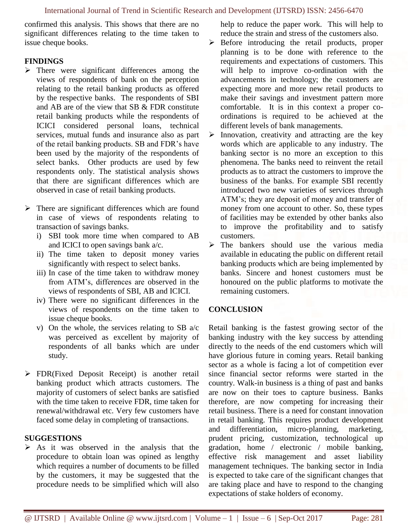confirmed this analysis. This shows that there are no significant differences relating to the time taken to issue cheque books.

# **FINDINGS**

- ➢ There were significant differences among the views of respondents of bank on the perception relating to the retail banking products as offered by the respective banks. The respondents of SBI and AB are of the view that SB & FDR constitute retail banking products while the respondents of ICICI considered personal loans, technical services, mutual funds and insurance also as part of the retail banking products. SB and FDR's have been used by the majority of the respondents of select banks. Other products are used by few respondents only. The statistical analysis shows that there are significant differences which are observed in case of retail banking products.
- $\triangleright$  There are significant differences which are found in case of views of respondents relating to transaction of savings banks.
	- i) SBI took more time when compared to AB and ICICI to open savings bank a/c.
	- ii) The time taken to deposit money varies significantly with respect to select banks.
	- iii) In case of the time taken to withdraw money from ATM's, differences are observed in the views of respondents of SBI, AB and ICICI.
	- iv) There were no significant differences in the views of respondents on the time taken to issue cheque books.
	- v) On the whole, the services relating to SB a/c was perceived as excellent by majority of respondents of all banks which are under study.
- ➢ FDR(Fixed Deposit Receipt) is another retail banking product which attracts customers. The majority of customers of select banks are satisfied with the time taken to receive FDR, time taken for renewal/withdrawal etc. Very few customers have faced some delay in completing of transactions.

# **SUGGESTIONS**

 $\triangleright$  As it was observed in the analysis that the procedure to obtain loan was opined as lengthy which requires a number of documents to be filled by the customers, it may be suggested that the procedure needs to be simplified which will also help to reduce the paper work. This will help to reduce the strain and stress of the customers also.

- ➢ Before introducing the retail products, proper planning is to be done with reference to the requirements and expectations of customers. This will help to improve co-ordination with the advancements in technology; the customers are expecting more and more new retail products to make their savings and investment pattern more comfortable. It is in this context a proper coordinations is required to be achieved at the different levels of bank managements.
- $\triangleright$  Innovation, creativity and attracting are the key words which are applicable to any industry. The banking sector is no more an exception to this phenomena. The banks need to reinvent the retail products as to attract the customers to improve the business of the banks. For example SBI recently introduced two new varieties of services through ATM's; they are deposit of money and transfer of money from one account to other. So, these types of facilities may be extended by other banks also to improve the profitability and to satisfy customers.
- ➢ The bankers should use the various media available in educating the public on different retail banking products which are being implemented by banks. Sincere and honest customers must be honoured on the public platforms to motivate the remaining customers.

# **CONCLUSION**

Retail banking is the fastest growing sector of the banking industry with the key success by attending directly to the needs of the end customers which will have glorious future in coming years. Retail banking sector as a whole is facing a lot of competition ever since financial sector reforms were started in the country. Walk-in business is a thing of past and banks are now on their toes to capture business. Banks therefore, are now competing for increasing their retail business. There is a need for constant innovation in retail banking. This requires product development and differentiation, micro-planning, marketing, prudent pricing, customization, technological up gradation, home / electronic / mobile banking, effective risk management and asset liability management techniques. The banking sector in India is expected to take care of the significant changes that are taking place and have to respond to the changing expectations of stake holders of economy.